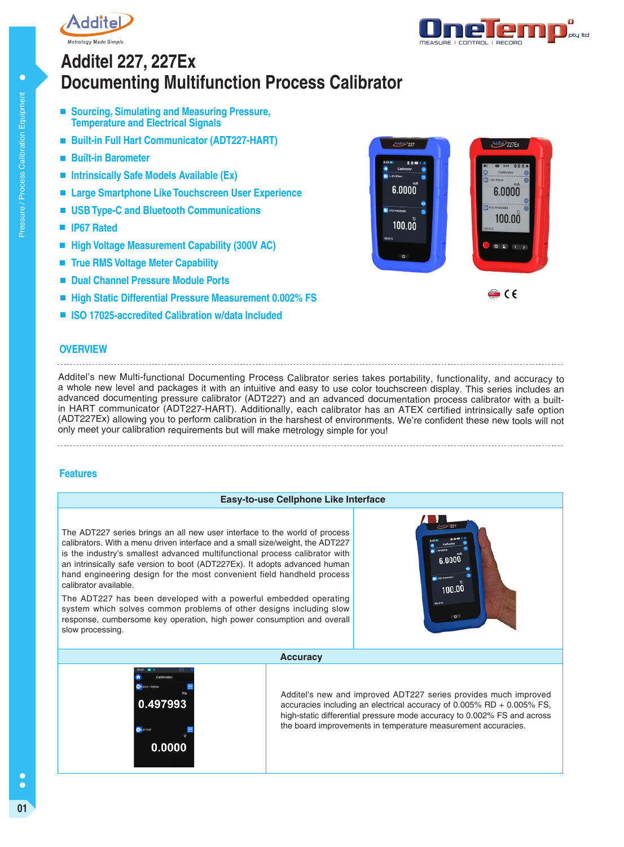



# **Documenting Multifunction Process Calibrator Additel 227, 227Ex**

- Sourcing, Simulating and Measuring Pressure, **Temperature and Electrical Signals**
- **Built-in Full Hart Communicator (ADT227-HART)**
- **Built-in Barometer**
- **Intrinsically Safe Models Available (Ex)**
- Large Smartphone Like Touchscreen User Experience
- **USB Type-C and Bluetooth Communications**
- **IP67 Rated**
- High Voltage Measurement Capability (300V AC)
- **True RMS Voltage Meter Capability**
- $\mathcal{L}_{\mathcal{A}}$ **Dual Channel Pressure Module Ports**
- **High Static Differential Pressure Measurement 0.002% FS**
- **ISO 17025-accredited Calibration w/data Included**



## **OVERVIEW**

Additel's new Multi-functional Documenting Process Calibrator series takes portability, functionality, and accuracy to a whole new level and packages it with an intuitive and easy to use color touchscreen display. This series includes an advanced documenting pressure calibrator (ADT227) and an advanced documentation process calibrator with a builtin HART communicator (ADT227-HART). Additionally, each calibrator has an ATEX certified intrinsically safe option (ADT227Ex) allowing you to perform calibration in the harshest of environments. We're confident these new tools will not only meet your calibration requirements but will make metrology simple for you!

## **Features**

# **Easy-to-use Cellphone Like Interface** The ADT227 series brings an all new user interface to the world of process calibrators. With a menu driven interface and a small size/weight, the ADT227 is the industry's smallest advanced multifunctional process calibrator with  $0000$  a an intrinsically safe version to boot (ADT227Ex). It adopts advanced human hand engineering design for the most convenient field handheld process calibrator available. 100.00 The ADT227 has been developed with a powerful embedded operating system which solves common problems of other designs including slow response, cumbersome key operation, high power consumption and overall slow processing. **Accuracy**



Additel's new and improved ADT227 series provides much improved accuracies including an electrical accuracy of 0.005% RD + 0.005% FS, high-static differential pressure mode accuracy to 0.002% FS and across the board improvements in temperature measurement accuracies.

 $\bullet$ Ċ **01**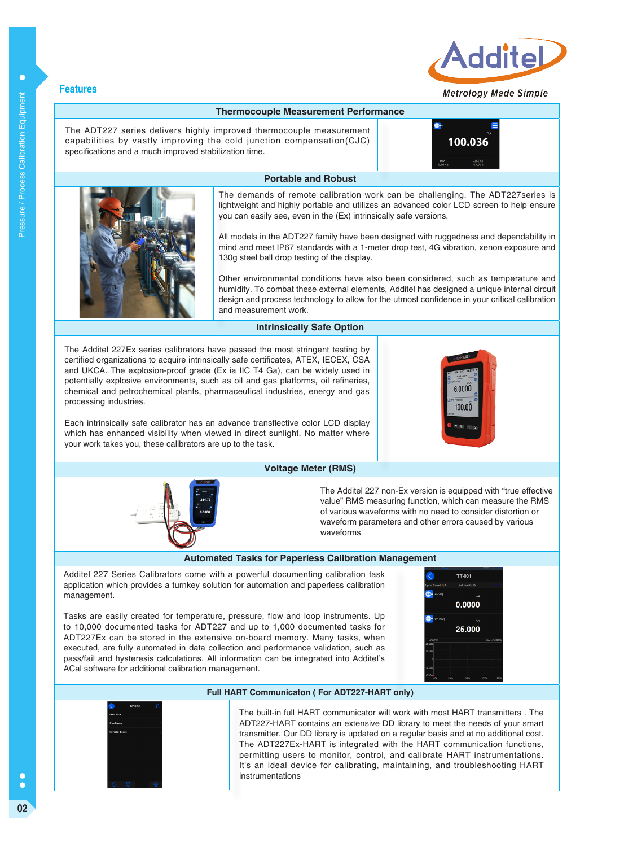

## Metroloav Made Simple

#### **Thermocouple Measurement Performance**

The ADT227 series delivers highly improved thermocouple measurement capabilities by vastly improving the cold junction compensation(CJC) specifications and a much improved stabilization time.

100.036



The demands of remote calibration work can be challenging. The ADT227series is lightweight and highly portable and utilizes an advanced color LCD screen to help ensure you can easily see, even in the (Ex) intrinsically safe versions.

All models in the ADT227 family have been designed with ruggedness and dependability in mind and meet IP67 standards with a 1-meter drop test, 4G vibration, xenon exposure and 130g steel ball drop testing of the display.

Other environmental conditions have also been considered, such as temperature and humidity. To combat these external elements, Additel has designed a unique internal circuit design and process technology to allow for the utmost confidence in your critical calibration and measurement work.

#### **Intrinsically Safe Option**

The Additel 227Ex series calibrators have passed the most stringent testing by certified organizations to acquire intrinsically safe certificates, ATEX, IECEX, CSA and UKCA. The explosion-proof grade (Ex ia IIC T4 Ga), can be widely used in potentially explosive environments, such as oil and gas platforms, oil refineries, chemical and petrochemical plants, pharmaceutical industries, energy and gas processing industries.

Each intrinsically safe calibrator has an advance transflective color LCD display which has enhanced visibility when viewed in direct sunlight. No matter where your work takes you, these calibrators are up to the task.

#### **Voltage Meter (RMS)**

The Additel 227 non-Ex version is equipped with "true effective value" RMS measuring function, which can measure the RMS of various waveforms with no need to consider distortion or waveform parameters and other errors caused by various waveforms

#### **Automated Tasks for Paperless Calibration Management**

Additel 227 Series Calibrators come with a powerful documenting calibration task application which provides a turnkey solution for automation and paperless calibration management.

Tasks are easily created for temperature, pressure, flow and loop instruments. Up to 10,000 documented tasks for ADT227 and up to 1,000 documented tasks for ADT227Ex can be stored in the extensive on-board memory. Many tasks, when executed, are fully automated in data collection and performance validation, such as pass/fail and hysteresis calculations. All information can be integrated into Additel's ACal software for additional calibration management.

#### **Full HART Communicaton ( For ADT227-HART only)**



The built-in full HART communicator will work with most HART transmitters . The ADT227-HART contains an extensive DD library to meet the needs of your smart transmitter. Our DD library is updated on a regular basis and at no additional cost. The ADT227Ex-HART is integrated with the HART communication functions, permitting users to monitor, control, and calibrate HART instrumentations. It's an ideal device for calibrating, maintaining, and troubleshooting HART instrumentations



TT-001

0.0000

25.000



 $\bullet$ 

C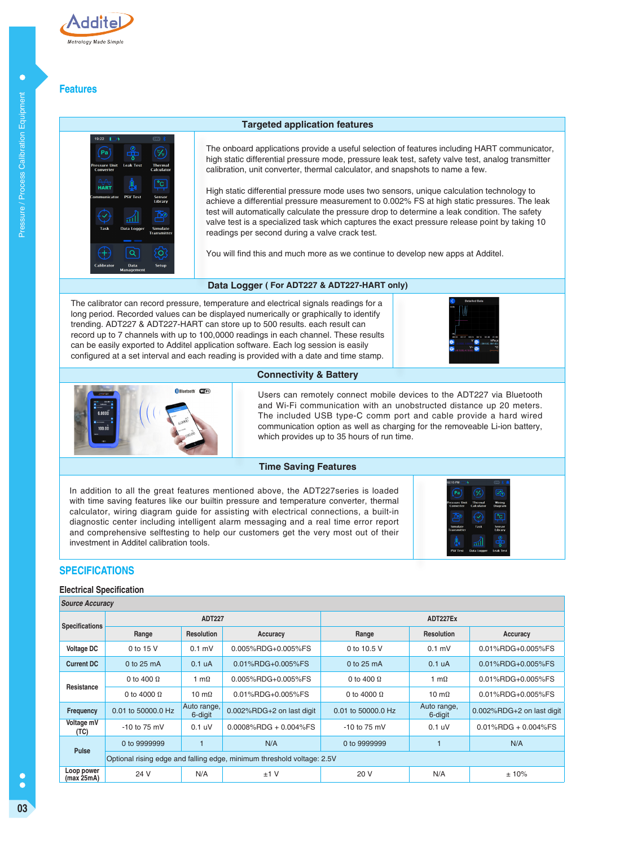

# **Features**



## **Targeted application features**

The onboard applications provide a useful selection of features including HART communicator, high static differential pressure mode, pressure leak test, safety valve test, analog transmitter calibration, unit converter, thermal calculator, and snapshots to name a few.

High static differential pressure mode uses two sensors, unique calculation technology to achieve a differential pressure measurement to 0.002% FS at high static pressures. The leak test will automatically calculate the pressure drop to determine a leak condition. The safety valve test is a specialized task which captures the exact pressure release point by taking 10 readings per second during a valve crack test.

You will find this and much more as we continue to develop new apps at Additel.

## **Data Logger ( For ADT227 & ADT227-HART only)**

The calibrator can record pressure, temperature and electrical signals readings for a long period. Recorded values can be displayed numerically or graphically to identify trending. ADT227 & ADT227-HART can store up to 500 results. each result can record up to 7 channels with up to 100,0000 readings in each channel. These results can be easily exported to Additel application software. Each log session is easily configured at a set interval and each reading is provided with a date and time stamp.





Users can remotely connect mobile devices to the ADT227 via Bluetooth and Wi-Fi communication with an unobstructed distance up 20 meters. The included USB type-C comm port and cable provide a hard wired communication option as well as charging for the removeable Li-ion battery,

#### **Time Saving Features**

**Connectivity & Battery**

which provides up to 35 hours of run time.

In addition to all the great features mentioned above, the ADT227series is loaded with time saving features like our builtin pressure and temperature converter, thermal calculator, wiring diagram guide for assisting with electrical connections, a built-in diagnostic center including intelligent alarm messaging and a real time error report and comprehensive selftesting to help our customers get the very most out of their investment in Additel calibration tools.



## **SPECIFICATIONS**

#### **Electrical Specification**

| <b>Source Accuracy</b>   |                    |                        |                                                                        |                    |                        |                           |  |
|--------------------------|--------------------|------------------------|------------------------------------------------------------------------|--------------------|------------------------|---------------------------|--|
|                          | <b>ADT227</b>      |                        |                                                                        | ADT227Ex           |                        |                           |  |
| <b>Specifications</b>    | Range              | <b>Resolution</b>      | Accuracy                                                               | Range              | <b>Resolution</b>      | Accuracy                  |  |
| <b>Voltage DC</b>        | 0 to 15 V          | $0.1$ mV               | 0.005%RDG+0.005%FS                                                     | 0 to 10.5 V        | $0.1$ mV               | 0.01%RDG+0.005%FS         |  |
| <b>Current DC</b>        | $0$ to 25 mA       | 0.1 <sub>u</sub> A     | 0.01%RDG+0.005%FS                                                      | $0$ to 25 mA       | 0.1 <sub>u</sub> A     | 0.01%RDG+0.005%FS         |  |
| Resistance               | 0 to 400 $\Omega$  | 1 m $\Omega$           | 0.005%RDG+0.005%FS                                                     | 0 to 400 $\Omega$  | 1 m $\Omega$           | 0.01%RDG+0.005%FS         |  |
|                          | 0 to 4000 $\Omega$ | 10 m $\Omega$          | 0.01%RDG+0.005%FS                                                      | 0 to 4000 $\Omega$ | 10 m $\Omega$          | 0.01%RDG+0.005%FS         |  |
| <b>Frequency</b>         | 0.01 to 50000.0 Hz | Auto range,<br>6-digit | 0.002%RDG+2 on last digit                                              | 0.01 to 50000.0 Hz | Auto range,<br>6-digit | 0.002%RDG+2 on last digit |  |
| Voltage mV<br>(TC)       | $-10$ to 75 mV     | 0.1 uV                 | $0.0008\%$ RDG + 0.004%FS                                              | $-10$ to 75 mV     | 0.1 uV                 | $0.01\%$ RDG + 0.004%FS   |  |
| <b>Pulse</b>             | 0 to 9999999       |                        | N/A                                                                    | 0 to 9999999       |                        | N/A                       |  |
|                          |                    |                        | Optional rising edge and falling edge, minimum threshold voltage: 2.5V |                    |                        |                           |  |
| Loop power<br>(max 25mA) | 24 V               | N/A                    | $±1$ V                                                                 | 20 V               | N/A                    | $±10\%$                   |  |

 $\bullet$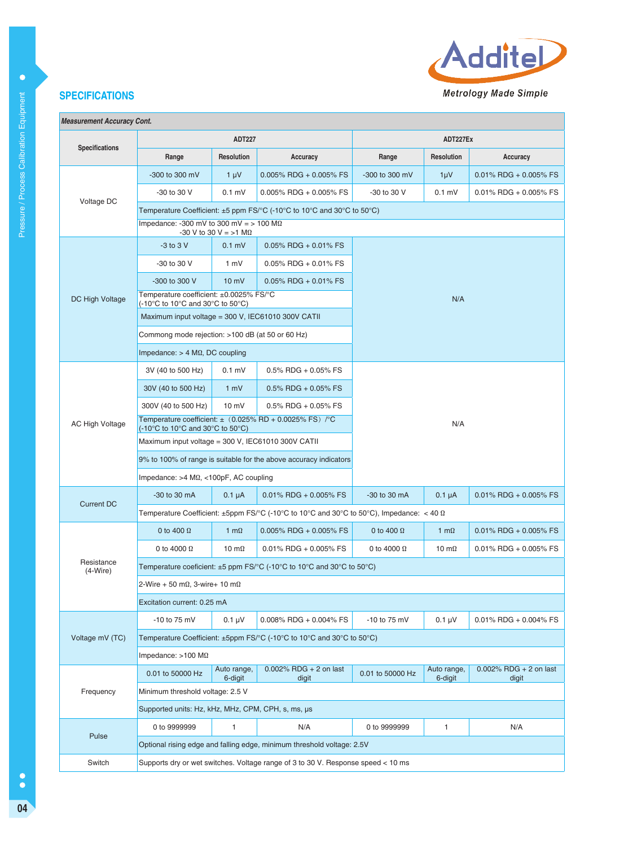

 $1 \mu V$  0.01% RDG + 0.005% FS 0.1 mV  $\Big| 0.01\% \text{ RDG} + 0.005\% \text{ FS}$ 

# **SPECIFICATIONS**

| <b>Measurement Accuracy Cont.</b> |                                                                                                                        |                                                    |                           |                  |                   |                   |  |  |
|-----------------------------------|------------------------------------------------------------------------------------------------------------------------|----------------------------------------------------|---------------------------|------------------|-------------------|-------------------|--|--|
|                                   | <b>ADT227</b>                                                                                                          |                                                    |                           | ADT227Ex         |                   |                   |  |  |
| <b>Specifications</b>             | Range                                                                                                                  | <b>Resolution</b>                                  | Accuracy                  | Range            | <b>Resolution</b> | Accuracy          |  |  |
|                                   | $-300$ to 300 mV                                                                                                       | $1 \mu V$                                          | $0.005\%$ RDG + 0.005% FS | $-300$ to 300 mV | $1 \mu V$         | $0.01\%$ RDG + 0. |  |  |
|                                   | -30 to 30 V                                                                                                            | $0.1$ mV                                           | $0.005\%$ RDG + 0.005% FS | $-30$ to 30 V    | $0.1$ mV          | $0.01\%$ RDG + 0. |  |  |
| Voltage DC                        | Temperature Coefficient: $\pm 5$ ppm FS/°C (-10°C to 10°C and 30°C to 50°C)                                            |                                                    |                           |                  |                   |                   |  |  |
|                                   | Impedance: -300 mV to 300 mV = $> 100$ M $\Omega$<br>$-30$ V to 30 V = >1 M $\Omega$                                   |                                                    |                           |                  |                   |                   |  |  |
|                                   | $-3$ to $3$ V                                                                                                          | $0.1$ mV                                           | $0.05\%$ RDG + 0.01% FS   |                  |                   |                   |  |  |
|                                   | -30 to 30 V                                                                                                            | 1 mV                                               | $0.05\%$ RDG + 0.01% FS   |                  |                   |                   |  |  |
|                                   | -300 to 300 V                                                                                                          | $10 \text{ mV}$                                    | $0.05\%$ RDG + 0.01% FS   |                  |                   |                   |  |  |
| DC High Voltage                   | Temperature coefficient: ±0.0025% FS/°C<br>$(-10^{\circ}$ C to 10 $^{\circ}$ C and 30 $^{\circ}$ C to 50 $^{\circ}$ C) |                                                    |                           |                  | N/A               |                   |  |  |
|                                   |                                                                                                                        | Maximum input voltage = 300 V, IEC61010 300V CATII |                           |                  |                   |                   |  |  |
|                                   | Commong mode rejection: >100 dB (at 50 or 60 Hz)                                                                       |                                                    |                           |                  |                   |                   |  |  |
|                                   |                                                                                                                        |                                                    |                           |                  |                   |                   |  |  |

|                          | Maximum input voltage = 300 V, IEC61010 300V CATII                                                                           |                                                                   |                                                             |                    |                        |                                    |  |
|--------------------------|------------------------------------------------------------------------------------------------------------------------------|-------------------------------------------------------------------|-------------------------------------------------------------|--------------------|------------------------|------------------------------------|--|
|                          | Commong mode rejection: >100 dB (at 50 or 60 Hz)                                                                             |                                                                   |                                                             |                    |                        |                                    |  |
|                          | Impedance: $> 4$ M $\Omega$ , DC coupling                                                                                    |                                                                   |                                                             |                    |                        |                                    |  |
|                          | 3V (40 to 500 Hz)                                                                                                            | $0.1$ mV                                                          | $0.5\%$ RDG + 0.05% FS                                      |                    |                        |                                    |  |
|                          | 30V (40 to 500 Hz)                                                                                                           | 1 mV                                                              | $0.5\%$ RDG + 0.05% FS                                      |                    |                        |                                    |  |
|                          | 300V (40 to 500 Hz)                                                                                                          | $10 \text{ mV}$                                                   | $0.5\%$ RDG + 0.05% FS                                      |                    |                        |                                    |  |
| <b>AC High Voltage</b>   | $(-10^{\circ}$ C to 10 $^{\circ}$ C and 30 $^{\circ}$ C to 50 $^{\circ}$ C)                                                  |                                                                   | Temperature coefficient: $\pm$ (0.025% RD + 0.0025% FS) /°C | N/A                |                        |                                    |  |
|                          | Maximum input voltage = 300 V, IEC61010 300V CATII                                                                           |                                                                   |                                                             |                    |                        |                                    |  |
|                          |                                                                                                                              | 9% to 100% of range is suitable for the above accuracy indicators |                                                             |                    |                        |                                    |  |
|                          | Impedance: $>4$ M $\Omega$ , <100pF, AC coupling                                                                             |                                                                   |                                                             |                    |                        |                                    |  |
| <b>Current DC</b>        | -30 to 30 mA                                                                                                                 | $0.1 \mu A$                                                       | $0.01\%$ RDG + 0.005% FS                                    | -30 to 30 mA       | $0.1 \mu A$            | $0.01\%$ RDG + 0.005% FS           |  |
|                          | Temperature Coefficient: $\pm 5$ ppm FS/°C (-10°C to 10°C and 30°C to 50°C), Impedance: < 40 $\Omega$                        |                                                                   |                                                             |                    |                        |                                    |  |
|                          | 0 to 400 $\Omega$                                                                                                            | 1 m $\Omega$                                                      | $0.005\%$ RDG + 0.005% FS                                   | 0 to 400 $\Omega$  | 1 m $\Omega$           | $0.01\%$ RDG + 0.005% FS           |  |
|                          | 0 to 4000 $\Omega$                                                                                                           | 10 m $\Omega$                                                     | 0.01% RDG + 0.005% FS                                       | 0 to 4000 $\Omega$ | 10 m $\Omega$          | 0.01% RDG + 0.005% FS              |  |
| Resistance<br>$(4-Wire)$ | Temperature coeficient: $\pm 5$ ppm FS/ $\degree$ C (-10 $\degree$ C to 10 $\degree$ C and 30 $\degree$ C to 50 $\degree$ C) |                                                                   |                                                             |                    |                        |                                    |  |
|                          | 2-Wire + 50 m $\Omega$ , 3-wire+ 10 m $\Omega$                                                                               |                                                                   |                                                             |                    |                        |                                    |  |
|                          | Excitation current: 0.25 mA                                                                                                  |                                                                   |                                                             |                    |                        |                                    |  |
|                          | $-10$ to 75 mV                                                                                                               | $0.1 \mu V$                                                       | $0.008\%$ RDG + 0.004% FS                                   | $-10$ to $75$ mV   | $0.1 \mu V$            | $0.01\%$ RDG + 0.004% FS           |  |
| Voltage mV (TC)          | Temperature Coefficient: ±5ppm FS/°C (-10°C to 10°C and 30°C to 50°C)                                                        |                                                                   |                                                             |                    |                        |                                    |  |
|                          | Impedance: $>100$ M $\Omega$                                                                                                 |                                                                   |                                                             |                    |                        |                                    |  |
|                          | 0.01 to 50000 Hz                                                                                                             | Auto range,<br>6-digit                                            | $0.002\%$ RDG + 2 on last<br>digit                          | 0.01 to 50000 Hz   | Auto range,<br>6-digit | $0.002\%$ RDG + 2 on last<br>digit |  |
| Frequency                | Minimum threshold voltage: 2.5 V                                                                                             |                                                                   |                                                             |                    |                        |                                    |  |
|                          | Supported units: Hz, kHz, MHz, CPM, CPH, s, ms, µs                                                                           |                                                                   |                                                             |                    |                        |                                    |  |
| Pulse                    | 0 to 9999999                                                                                                                 | $\mathbf{1}$                                                      | N/A                                                         | 0 to 9999999       | $\mathbf{1}$           | N/A                                |  |
|                          | Optional rising edge and falling edge, minimum threshold voltage: 2.5V                                                       |                                                                   |                                                             |                    |                        |                                    |  |
| Switch                   | Supports dry or wet switches. Voltage range of 3 to 30 V. Response speed < 10 ms                                             |                                                                   |                                                             |                    |                        |                                    |  |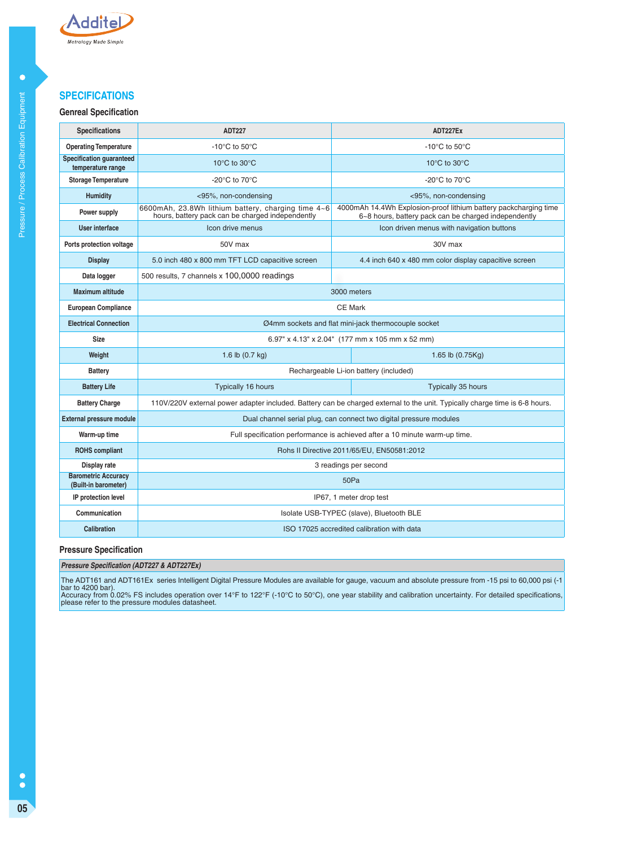

# **SPECIFICATIONS**

## **Genreal Specification**

| <b>Specifications</b>                                | <b>ADT227</b>                                                                                          | ADT227Ex                                                                                                                    |  |  |
|------------------------------------------------------|--------------------------------------------------------------------------------------------------------|-----------------------------------------------------------------------------------------------------------------------------|--|--|
| <b>Operating Temperature</b>                         | -10 $^{\circ}$ C to 50 $^{\circ}$ C                                                                    | -10 $^{\circ}$ C to 50 $^{\circ}$ C                                                                                         |  |  |
| <b>Specification guaranteed</b><br>temperature range | 10 $\rm{^{\circ}C}$ to 30 $\rm{^{\circ}C}$                                                             | 10°C to 30°C                                                                                                                |  |  |
| <b>Storage Temperature</b>                           | -20 $\rm{^{\circ}C}$ to 70 $\rm{^{\circ}C}$                                                            | -20 $^{\circ}$ C to 70 $^{\circ}$ C                                                                                         |  |  |
| <b>Humidity</b>                                      | <95%, non-condensing                                                                                   | <95%, non-condensing                                                                                                        |  |  |
| Power supply                                         | 6600mAh, 23.8Wh lithium battery, charging time 4~6<br>hours, battery pack can be charged independently | 4000mAh 14.4Wh Explosion-proof lithium battery packcharging time<br>6~8 hours, battery pack can be charged independently    |  |  |
| User interface                                       | Icon drive menus                                                                                       | Icon driven menus with navigation buttons                                                                                   |  |  |
| Ports protection voltage                             | 50V max                                                                                                | 30V max                                                                                                                     |  |  |
| <b>Display</b>                                       | 5.0 inch 480 x 800 mm TFT LCD capacitive screen                                                        | 4.4 inch 640 x 480 mm color display capacitive screen                                                                       |  |  |
| Data logger                                          | 500 results, 7 channels x 100,0000 readings                                                            |                                                                                                                             |  |  |
| <b>Maximum altitude</b>                              |                                                                                                        | 3000 meters                                                                                                                 |  |  |
| <b>European Compliance</b>                           | <b>CE Mark</b>                                                                                         |                                                                                                                             |  |  |
| <b>Electrical Connection</b>                         | Ø4mm sockets and flat mini-jack thermocouple socket                                                    |                                                                                                                             |  |  |
| <b>Size</b>                                          | 6.97" x 4.13" x 2.04" (177 mm x 105 mm x 52 mm)                                                        |                                                                                                                             |  |  |
| Weight                                               | 1.6 lb $(0.7 \text{ kg})$                                                                              | 1.65 lb (0.75Kg)                                                                                                            |  |  |
| <b>Battery</b>                                       |                                                                                                        | Rechargeable Li-ion battery (included)                                                                                      |  |  |
| <b>Battery Life</b>                                  | Typically 16 hours                                                                                     | Typically 35 hours                                                                                                          |  |  |
| <b>Battery Charge</b>                                |                                                                                                        | 110V/220V external power adapter included. Battery can be charged external to the unit. Typically charge time is 6-8 hours. |  |  |
| <b>External pressure module</b>                      |                                                                                                        | Dual channel serial plug, can connect two digital pressure modules                                                          |  |  |
| Warm-up time                                         |                                                                                                        | Full specification performance is achieved after a 10 minute warm-up time.                                                  |  |  |
| <b>ROHS</b> compliant                                | Rohs II Directive 2011/65/EU, EN50581:2012                                                             |                                                                                                                             |  |  |
| Display rate                                         | 3 readings per second                                                                                  |                                                                                                                             |  |  |
| <b>Barometric Accuracy</b><br>(Built-in barometer)   |                                                                                                        | 50Pa                                                                                                                        |  |  |
| IP protection level                                  |                                                                                                        | IP67, 1 meter drop test                                                                                                     |  |  |
| Communication                                        |                                                                                                        | Isolate USB-TYPEC (slave), Bluetooth BLE                                                                                    |  |  |
| <b>Calibration</b>                                   |                                                                                                        | ISO 17025 accredited calibration with data                                                                                  |  |  |

## **Pressure Specification**

#### **Pressure Specification (ADT227 & ADT227Ex)**

The ADT161 and ADT161Ex series Intelligent Digital Pressure Modules are available for gauge, vacuum and absolute pressure from -15 psi to 60,000 psi (-1<br>bar to 4200 bar).<br>Accuracy from 0.02% FS includes operation over 14°

 $\ddot{\bullet}$ **05**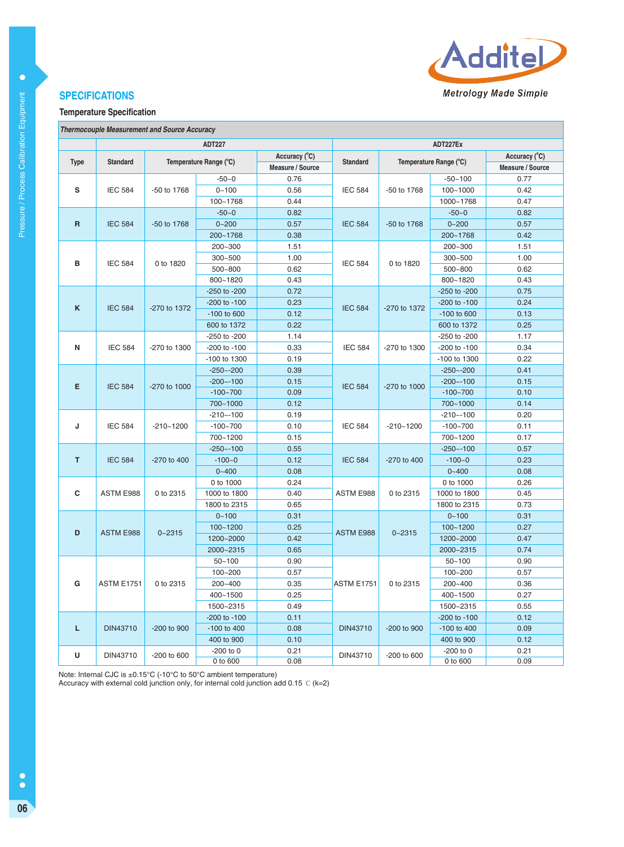

# **SPECIFICATIONS**

## **Temperature Specification**

|  | <b>Thermocouple Measurement and Source Accuracy</b> |  |  |
|--|-----------------------------------------------------|--|--|
|--|-----------------------------------------------------|--|--|

|                     |                   |               | <b>ADT227</b>          |                  | ADT227Ex                        |              |                        |                  |
|---------------------|-------------------|---------------|------------------------|------------------|---------------------------------|--------------|------------------------|------------------|
|                     |                   |               |                        | Accuracy (°C)    |                                 |              |                        | Accuracy (°C)    |
| <b>Type</b>         | <b>Standard</b>   |               | Temperature Range (°C) | Measure / Source | <b>Standard</b>                 |              | Temperature Range (°C) | Measure / Source |
|                     |                   |               | $-50 - 0$              | 0.76             |                                 |              | $-50 - 100$            | 0.77             |
| s                   | <b>IEC 584</b>    | -50 to 1768   | $0 - 100$              | 0.56             | <b>IEC 584</b>                  | -50 to 1768  | $100 - 1000$           | 0.42             |
|                     |                   |               | 100~1768               | 0.44             |                                 |              | 1000~1768              | 0.47             |
|                     |                   |               | $-50-0$                | 0.82             |                                 |              | $-50-0$                | 0.82             |
| $\mathsf{R}$        | <b>IEC 584</b>    | -50 to 1768   | $0 - 200$              | 0.57             | <b>IEC 584</b>                  | -50 to 1768  | $0 - 200$              | 0.57             |
|                     |                   |               | 200~1768               | 0.38             |                                 |              | 200~1768               | 0.42             |
|                     |                   |               | 200~300                | 1.51             |                                 |              | 200~300                | 1.51             |
|                     |                   |               | 300~500                | 1.00             |                                 |              | 300~500                | 1.00             |
| в                   | <b>IEC 584</b>    | 0 to 1820     | 500~800                | 0.62             | <b>IEC 584</b>                  | 0 to 1820    | 500~800                | 0.62             |
|                     |                   |               | 800~1820               | 0.43             |                                 |              | 800~1820               | 0.43             |
|                     |                   |               | $-250$ to $-200$       | 0.72             |                                 |              | -250 to -200           | 0.75             |
|                     |                   |               | $-200$ to $-100$       | 0.23             |                                 |              | -200 to -100           | 0.24             |
| K                   | <b>IEC 584</b>    | -270 to 1372  | -100 to 600            | 0.12             | <b>IEC 584</b>                  | -270 to 1372 | -100 to 600            | 0.13             |
|                     |                   |               | 600 to 1372            | 0.22             |                                 |              | 600 to 1372            | 0.25             |
|                     |                   |               | -250 to -200           | 1.14             |                                 |              | -250 to -200           | 1.17             |
| N                   | <b>IEC 584</b>    | -270 to 1300  | -200 to -100           | 0.33             | <b>IEC 584</b>                  | -270 to 1300 | -200 to -100           | 0.34             |
|                     |                   |               | -100 to 1300           | 0.19             |                                 |              | -100 to 1300           | 0.22             |
|                     |                   |               | $-250 - -200$          | 0.39             |                                 |              | $-250 - -200$          | 0.41             |
| E<br><b>IEC 584</b> |                   | $-200 - 100$  | 0.15                   |                  |                                 | $-200 - 100$ | 0.15                   |                  |
|                     |                   | -270 to 1000  | $-100 - 700$           | 0.09             | <b>IEC 584</b>                  | -270 to 1000 | $-100 - 700$           | 0.10             |
|                     |                   |               | 700~1000               | 0.12             |                                 |              | 700~1000               | 0.14             |
|                     |                   |               | $-210 - -100$          | 0.19             | <b>IEC 584</b><br>$-210 - 1200$ |              | $-210 - -100$          | 0.20             |
| J                   | <b>IEC 584</b>    | $-210 - 1200$ | $-100 - 700$           | 0.10             |                                 |              | $-100 - 700$           | 0.11             |
|                     |                   |               | 700~1200               | 0.15             |                                 | 700~1200     | 0.17                   |                  |
|                     |                   |               | $-250 - -100$          | 0.55             |                                 |              | $-250 - 100$           | 0.57             |
| T                   | <b>IEC 584</b>    | -270 to 400   | $-100 - 0$             | 0.12             | <b>IEC 584</b>                  | -270 to 400  | $-100-0$               | 0.23             |
|                     |                   |               | $0 - 400$              | 0.08             |                                 |              | $0 - 400$              | 0.08             |
|                     |                   |               | 0 to 1000              | 0.24             |                                 |              | 0 to 1000              | 0.26             |
| C                   | ASTM E988         | 0 to 2315     | 1000 to 1800           | 0.40             | ASTM E988                       | 0 to 2315    | 1000 to 1800           | 0.45             |
|                     |                   |               | 1800 to 2315           | 0.65             |                                 |              | 1800 to 2315           | 0.73             |
|                     |                   |               | $0 - 100$              | 0.31             |                                 |              | $0 - 100$              | 0.31             |
| D                   | <b>ASTM E988</b>  | $0 - 2315$    | $100 - 1200$           | 0.25             | <b>ASTM E988</b>                | $0 - 2315$   | $100 - 1200$           | 0.27             |
|                     |                   |               | 1200~2000              | 0.42             |                                 |              | 1200~2000              | 0.47             |
|                     |                   |               | 2000~2315              | 0.65             |                                 |              | 2000~2315              | 0.74             |
|                     |                   |               | $50 - 100$             | 0.90             |                                 |              | $50 - 100$             | 0.90             |
|                     |                   |               | 100~200                | 0.57             |                                 |              | 100~200                | 0.57             |
| G                   | <b>ASTM E1751</b> | 0 to 2315     | 200~400                | 0.35             | <b>ASTM E1751</b>               | 0 to 2315    | 200~400                | 0.36             |
|                     |                   |               | 400~1500               | 0.25             |                                 |              | 400~1500               | 0.27             |
|                     |                   |               | 1500~2315              | 0.49             |                                 |              | 1500~2315              | 0.55             |
|                     |                   |               | -200 to -100           | 0.11             |                                 |              | -200 to -100           | 0.12             |
| L                   | <b>DIN43710</b>   | -200 to 900   | -100 to 400            | 0.08             | <b>DIN43710</b>                 | -200 to 900  | -100 to 400            | 0.09             |
|                     |                   |               | 400 to 900             | 0.10             |                                 |              | 400 to 900             | 0.12             |
| U                   | DIN43710          | -200 to 600   | $-200$ to $0$          | 0.21             | DIN43710                        | -200 to 600  | $-200$ to $0$          | 0.21             |
|                     |                   |               | 0 to 600               | 0.08             |                                 |              | 0 to 600               | 0.09             |

Note: Internal CJC is ±0.15°C (-10°C to 50°C ambient temperature)

Accuracy with external cold junction only, for internal cold junction add 0.15 ℃(k=2)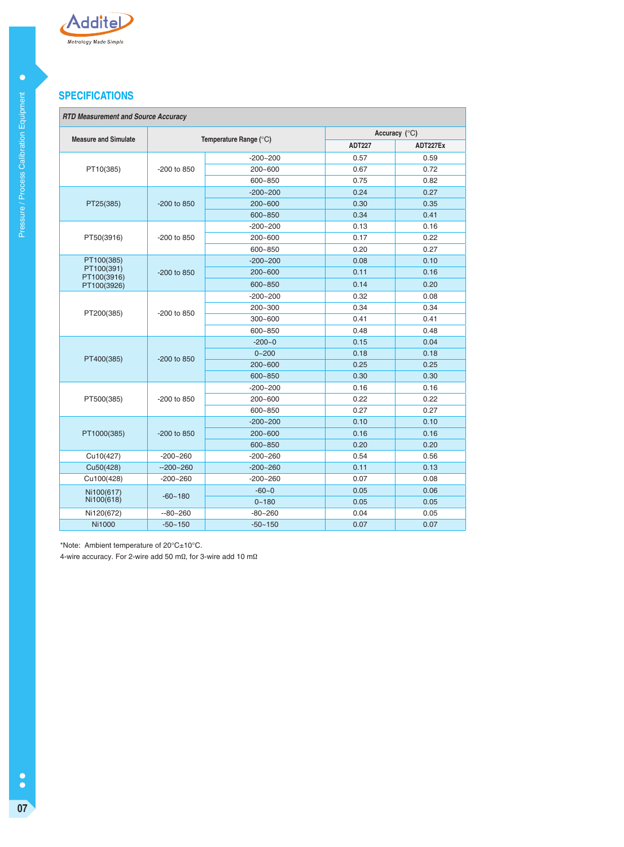

# **SPECIFICATIONS**

# **RTD Measurement and Source Accuracy**

| RTD Measurement and Source Accuracy |               |                        |               |          |  |
|-------------------------------------|---------------|------------------------|---------------|----------|--|
| <b>Measure and Simulate</b>         |               | Temperature Range (°C) | Accuracy (°C) |          |  |
|                                     |               |                        | <b>ADT227</b> | ADT227Ex |  |
|                                     |               | $-200 - 200$           | 0.57          | 0.59     |  |
| PT10(385)                           | $-200$ to 850 | $200 - 600$            | 0.67          | 0.72     |  |
|                                     |               | 600~850                | 0.75          | 0.82     |  |
|                                     |               | $-200 - 200$           | 0.24          | 0.27     |  |
| PT25(385)                           | -200 to 850   | $200 - 600$            | 0.30          | 0.35     |  |
|                                     |               | 600~850                | 0.34          | 0.41     |  |
|                                     |               | $-200 - 200$           | 0.13          | 0.16     |  |
| PT50(3916)                          | -200 to 850   | $200 - 600$            | 0.17          | 0.22     |  |
|                                     |               | 600~850                | 0.20          | 0.27     |  |
| PT100(385)                          |               | $-200 - 200$           | 0.08          | 0.10     |  |
| PT100(391)<br>PT100(3916)           | -200 to 850   | $200 - 600$            | 0.11          | 0.16     |  |
| PT100(3926)                         |               | 600~850                | 0.14          | 0.20     |  |
|                                     | -200 to 850   | $-200 - 200$           | 0.32          | 0.08     |  |
|                                     |               | $200 - 300$            | 0.34          | 0.34     |  |
| PT200(385)                          |               | $300 - 600$            | 0.41          | 0.41     |  |
|                                     |               | 600~850                | 0.48          | 0.48     |  |
|                                     | $-200$ to 850 | $-200 - 0$             | 0.15          | 0.04     |  |
| PT400(385)                          |               | $0 - 200$              | 0.18          | 0.18     |  |
|                                     |               | $200 - 600$            | 0.25          | 0.25     |  |
|                                     |               | 600~850                | 0.30          | 0.30     |  |
|                                     |               | $-200 - 200$           | 0.16          | 0.16     |  |
| PT500(385)                          | -200 to 850   | $200 - 600$            | 0.22          | 0.22     |  |
|                                     |               | 600~850                | 0.27          | 0.27     |  |
|                                     |               | $-200 - 200$           | 0.10          | 0.10     |  |
| PT1000(385)                         | -200 to 850   | $200 - 600$            | 0.16          | 0.16     |  |
|                                     |               | 600~850                | 0.20          | 0.20     |  |
| Cu10(427)                           | $-200 - 260$  | $-200 - 260$           | 0.54          | 0.56     |  |
| Cu50(428)                           | $-200 - 260$  | $-200 - 260$           | 0.11          | 0.13     |  |
| Cu100(428)                          | $-200 - 260$  | $-200 - 260$           | 0.07          | 0.08     |  |
| Ni100(617)                          | $-60 - 180$   | $-60-0$                | 0.05          | 0.06     |  |
| Ni100(618)                          |               | $0 - 180$              | 0.05          | 0.05     |  |
| Ni120(672)                          | $-80 - 260$   | $-80 - 260$            | 0.04          | 0.05     |  |
| <b>Ni1000</b>                       | $-50 - 150$   | $-50 - 150$            | 0.07          | 0.07     |  |

\*Note: Ambient temperature of 20°C±10°C.

4-wire accuracy. For 2-wire add 50 mΩ, for 3-wire add 10 mΩ